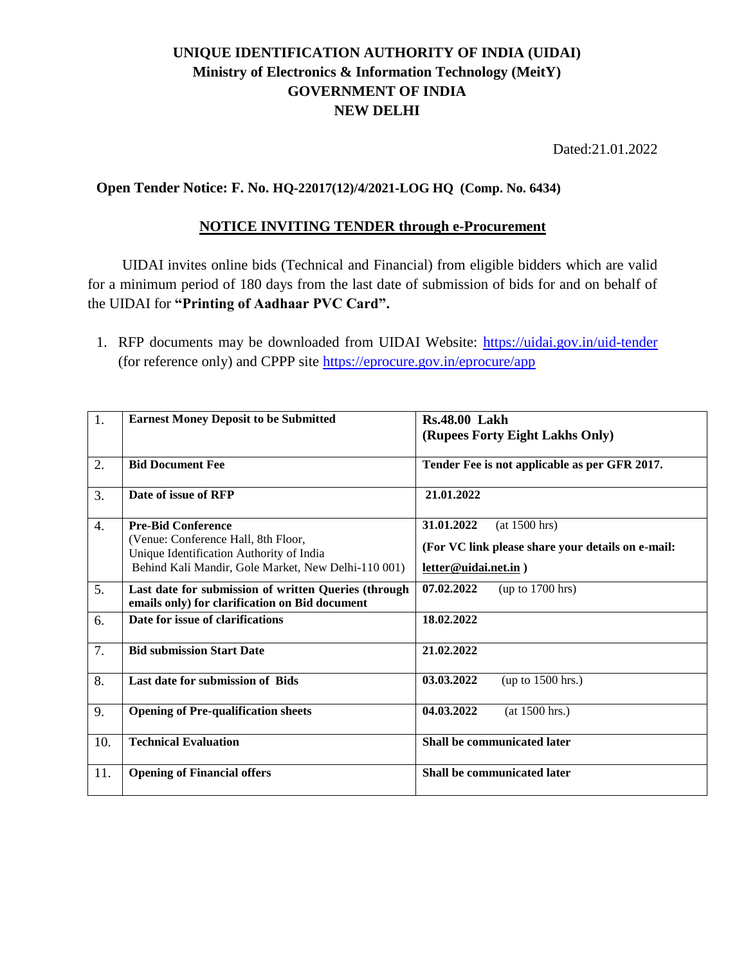## **UNIQUE IDENTIFICATION AUTHORITY OF INDIA (UIDAI) Ministry of Electronics & Information Technology (MeitY) GOVERNMENT OF INDIA NEW DELHI**

Dated:21.01.2022

## **Open Tender Notice: F. No. HQ-22017(12)/4/2021-LOG HQ (Comp. No. 6434)**

## **NOTICE INVITING TENDER through e-Procurement**

UIDAI invites online bids (Technical and Financial) from eligible bidders which are valid for a minimum period of 180 days from the last date of submission of bids for and on behalf of the UIDAI for **"Printing of Aadhaar PVC Card".** 

1. RFP documents may be downloaded from UIDAI Website:<https://uidai.gov.in/uid-tender> (for reference only) and CPPP site<https://eprocure.gov.in/eprocure/app>

| 1.               | <b>Earnest Money Deposit to be Submitted</b>                                                           | <b>Rs.48.00 Lakh</b>                              |
|------------------|--------------------------------------------------------------------------------------------------------|---------------------------------------------------|
|                  |                                                                                                        | (Rupees Forty Eight Lakhs Only)                   |
| 2.               | <b>Bid Document Fee</b>                                                                                | Tender Fee is not applicable as per GFR 2017.     |
| 3.               | Date of issue of RFP                                                                                   | 21.01.2022                                        |
| $\overline{4}$ . | <b>Pre-Bid Conference</b>                                                                              | 31.01.2022<br>(at 1500 hrs)                       |
|                  | (Venue: Conference Hall, 8th Floor,<br>Unique Identification Authority of India                        | (For VC link please share your details on e-mail: |
|                  | Behind Kali Mandir, Gole Market, New Delhi-110 001)                                                    | letter@uidai.net.in)                              |
| 5.               | Last date for submission of written Queries (through<br>emails only) for clarification on Bid document | 07.02.2022<br>(up to 1700 hrs)                    |
| 6.               | Date for issue of clarifications                                                                       | 18.02.2022                                        |
| 7.               | <b>Bid submission Start Date</b>                                                                       | 21.02.2022                                        |
| 8.               | Last date for submission of Bids                                                                       | 03.03.2022<br>(up to $1500$ hrs.)                 |
| 9.               | <b>Opening of Pre-qualification sheets</b>                                                             | 04.03.2022<br>(at 1500 hrs.)                      |
| 10.              | <b>Technical Evaluation</b>                                                                            | Shall be communicated later                       |
| 11.              | <b>Opening of Financial offers</b>                                                                     | Shall be communicated later                       |